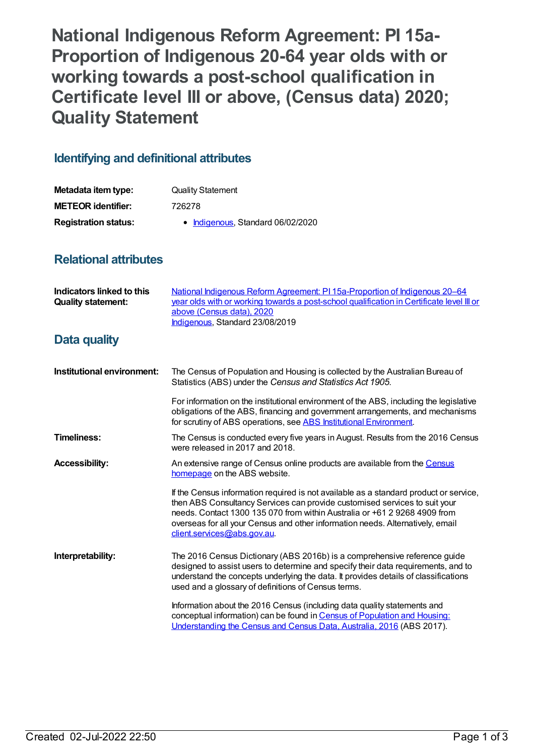**National Indigenous Reform Agreement: PI 15a-Proportion of Indigenous 20-64 year olds with or working towards a post-school qualification in Certificate level III or above, (Census data) 2020; Quality Statement**

## **Identifying and definitional attributes**

| Metadata item type:         | <b>Quality Statement</b>          |  |
|-----------------------------|-----------------------------------|--|
| <b>METEOR identifier:</b>   | 726278                            |  |
| <b>Registration status:</b> | • Indigenous, Standard 06/02/2020 |  |

## **Relational attributes**

| Indicators linked to this<br><b>Quality statement:</b> | National Indigenous Reform Agreement: PI 15a-Proportion of Indigenous 20-64<br>year olds with or working towards a post-school qualification in Certificate level III or<br>above (Census data), 2020<br>Indigenous, Standard 23/08/2019                                                                                                                          |  |
|--------------------------------------------------------|-------------------------------------------------------------------------------------------------------------------------------------------------------------------------------------------------------------------------------------------------------------------------------------------------------------------------------------------------------------------|--|
| Data quality                                           |                                                                                                                                                                                                                                                                                                                                                                   |  |
| Institutional environment:                             | The Census of Population and Housing is collected by the Australian Bureau of<br>Statistics (ABS) under the Census and Statistics Act 1905.                                                                                                                                                                                                                       |  |
|                                                        | For information on the institutional environment of the ABS, including the legislative<br>obligations of the ABS, financing and government arrangements, and mechanisms<br>for scrutiny of ABS operations, see ABS Institutional Environment.                                                                                                                     |  |
| <b>Timeliness:</b>                                     | The Census is conducted every five years in August. Results from the 2016 Census<br>were released in 2017 and 2018.                                                                                                                                                                                                                                               |  |
| <b>Accessibility:</b>                                  | An extensive range of Census online products are available from the Census<br>homepage on the ABS website.                                                                                                                                                                                                                                                        |  |
|                                                        | If the Census information required is not available as a standard product or service,<br>then ABS Consultancy Services can provide customised services to suit your<br>needs. Contact 1300 135 070 from within Australia or +61 2 9268 4909 from<br>overseas for all your Census and other information needs. Alternatively, email<br>client.services@abs.gov.au. |  |
| Interpretability:                                      | The 2016 Census Dictionary (ABS 2016b) is a comprehensive reference guide<br>designed to assist users to determine and specify their data requirements, and to<br>understand the concepts underlying the data. It provides details of classifications<br>used and a glossary of definitions of Census terms.                                                      |  |
|                                                        | Information about the 2016 Census (including data quality statements and<br>conceptual information) can be found in Census of Population and Housing:<br>Understanding the Census and Census Data, Australia, 2016 (ABS 2017).                                                                                                                                    |  |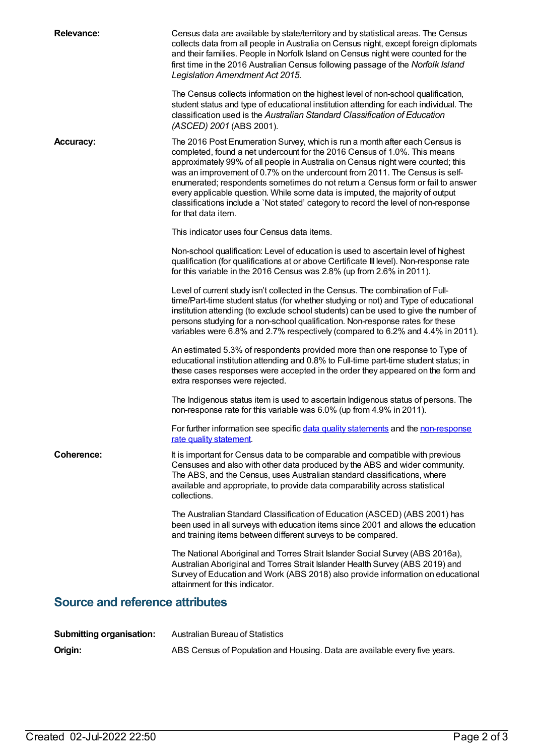| <b>Relevance:</b>                      | Census data are available by state/territory and by statistical areas. The Census<br>collects data from all people in Australia on Census night, except foreign diplomats<br>and their families. People in Norfolk Island on Census night were counted for the<br>first time in the 2016 Australian Census following passage of the Norfolk Island<br>Legislation Amendment Act 2015.<br>The Census collects information on the highest level of non-school qualification,<br>student status and type of educational institution attending for each individual. The<br>classification used is the Australian Standard Classification of Education<br>(ASCED) 2001 (ABS 2001). |  |
|----------------------------------------|-------------------------------------------------------------------------------------------------------------------------------------------------------------------------------------------------------------------------------------------------------------------------------------------------------------------------------------------------------------------------------------------------------------------------------------------------------------------------------------------------------------------------------------------------------------------------------------------------------------------------------------------------------------------------------|--|
| <b>Accuracy:</b>                       | The 2016 Post Enumeration Survey, which is run a month after each Census is<br>completed, found a net undercount for the 2016 Census of 1.0%. This means<br>approximately 99% of all people in Australia on Census night were counted; this<br>was an improvement of 0.7% on the undercount from 2011. The Census is self-<br>enumerated; respondents sometimes do not return a Census form or fail to answer<br>every applicable question. While some data is imputed, the majority of output<br>classifications include a `Not stated' category to record the level of non-response<br>for that data item.                                                                  |  |
|                                        | This indicator uses four Census data items.                                                                                                                                                                                                                                                                                                                                                                                                                                                                                                                                                                                                                                   |  |
|                                        | Non-school qualification: Level of education is used to ascertain level of highest<br>qualification (for qualifications at or above Certificate III level). Non-response rate<br>for this variable in the 2016 Census was 2.8% (up from 2.6% in 2011).                                                                                                                                                                                                                                                                                                                                                                                                                        |  |
|                                        | Level of current study isn't collected in the Census. The combination of Full-<br>time/Part-time student status (for whether studying or not) and Type of educational<br>institution attending (to exclude school students) can be used to give the number of<br>persons studying for a non-school qualification. Non-response rates for these<br>variables were 6.8% and 2.7% respectively (compared to 6.2% and 4.4% in 2011).                                                                                                                                                                                                                                              |  |
|                                        | An estimated 5.3% of respondents provided more than one response to Type of<br>educational institution attending and 0.8% to Full-time part-time student status; in<br>these cases responses were accepted in the order they appeared on the form and<br>extra responses were rejected.                                                                                                                                                                                                                                                                                                                                                                                       |  |
|                                        | The Indigenous status item is used to ascertain Indigenous status of persons. The<br>non-response rate for this variable was 6.0% (up from 4.9% in 2011).                                                                                                                                                                                                                                                                                                                                                                                                                                                                                                                     |  |
|                                        | For further information see specific data quality statements and the non-response<br>rate quality statement.                                                                                                                                                                                                                                                                                                                                                                                                                                                                                                                                                                  |  |
| <b>Coherence:</b>                      | It is important for Census data to be comparable and compatible with previous<br>Censuses and also with other data produced by the ABS and wider community.<br>The ABS, and the Census, uses Australian standard classifications, where<br>available and appropriate, to provide data comparability across statistical<br>collections.                                                                                                                                                                                                                                                                                                                                        |  |
|                                        | The Australian Standard Classification of Education (ASCED) (ABS 2001) has<br>been used in all surveys with education items since 2001 and allows the education<br>and training items between different surveys to be compared.                                                                                                                                                                                                                                                                                                                                                                                                                                               |  |
|                                        | The National Aboriginal and Torres Strait Islander Social Survey (ABS 2016a),<br>Australian Aboriginal and Torres Strait Islander Health Survey (ABS 2019) and<br>Survey of Education and Work (ABS 2018) also provide information on educational<br>attainment for this indicator.                                                                                                                                                                                                                                                                                                                                                                                           |  |
| <b>Source and reference attributes</b> |                                                                                                                                                                                                                                                                                                                                                                                                                                                                                                                                                                                                                                                                               |  |
| <b>Submitting organisation:</b>        | <b>Australian Bureau of Statistics</b>                                                                                                                                                                                                                                                                                                                                                                                                                                                                                                                                                                                                                                        |  |

| Origin: | ABS Census of Population and Housing. Data are available every five years. |  |
|---------|----------------------------------------------------------------------------|--|
|         |                                                                            |  |